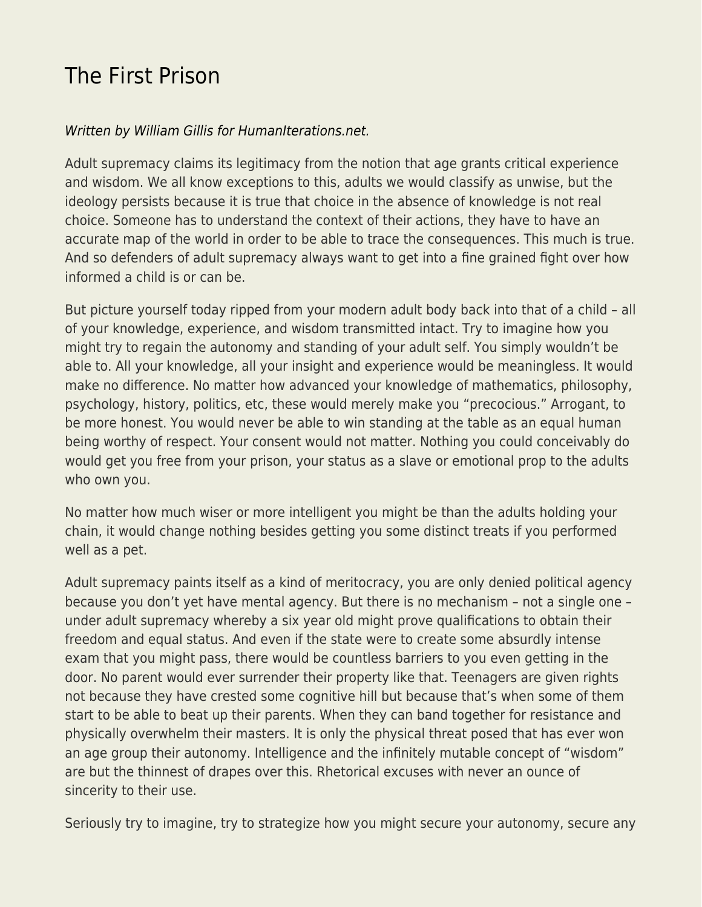## [The First Prison](https://everything-voluntary.com/the-first-prison)

## [Written by William Gillis for HumanIterations.net.](http://humaniterations.net/2018/10/24/the-first-prison)

Adult supremacy claims its legitimacy from the notion that age grants critical experience and wisdom. We all know exceptions to this, adults we would classify as unwise, but the ideology persists because it is true that choice in the absence of knowledge is not real choice. Someone has to understand the context of their actions, they have to have an accurate map of the world in order to be able to trace the consequences. This much is true. And so defenders of adult supremacy always want to get into a fine grained fight over how informed a child is or can be.

But picture yourself today ripped from your modern adult body back into that of a child – all of your knowledge, experience, and wisdom transmitted intact. Try to imagine how you might try to regain the autonomy and standing of your adult self. You simply wouldn't be able to. All your knowledge, all your insight and experience would be meaningless. It would make no difference. No matter how advanced your knowledge of mathematics, philosophy, psychology, history, politics, etc, these would merely make you "precocious." Arrogant, to be more honest. You would never be able to win standing at the table as an equal human being worthy of respect. Your consent would not matter. Nothing you could conceivably do would get you free from your prison, your status as a slave or emotional prop to the adults who own you.

No matter how much wiser or more intelligent you might be than the adults holding your chain, it would change nothing besides getting you some distinct treats if you performed well as a pet.

Adult supremacy paints itself as a kind of meritocracy, you are only denied political agency because you don't yet have mental agency. But there is no mechanism – not a single one – under adult supremacy whereby a six year old might prove qualifications to obtain their freedom and equal status. And even if the state were to create some absurdly intense exam that you might pass, there would be countless barriers to you even getting in the door. No parent would ever surrender their property like that. Teenagers are given rights not because they have crested some cognitive hill but because that's when some of them start to be able to beat up their parents. When they can band together for resistance and physically overwhelm their masters. It is only the physical threat posed that has ever won an age group their autonomy. Intelligence and the infinitely mutable concept of "wisdom" are but the thinnest of drapes over this. Rhetorical excuses with never an ounce of sincerity to their use.

Seriously try to imagine, try to strategize how you might secure your autonomy, secure any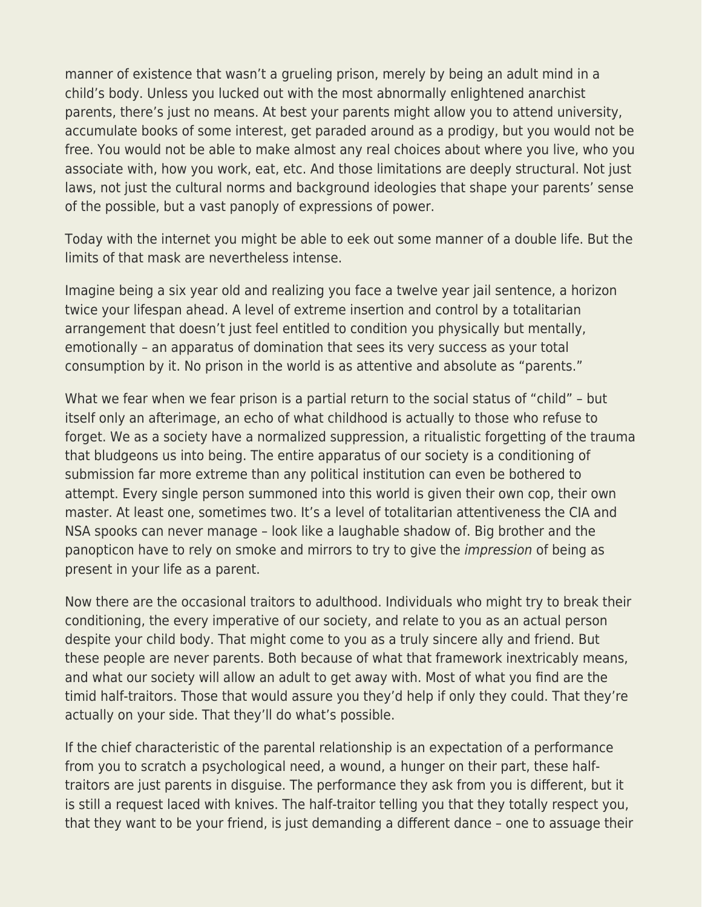manner of existence that wasn't a grueling prison, merely by being an adult mind in a child's body. Unless you lucked out with the most abnormally enlightened anarchist parents, there's just no means. At best your parents might allow you to attend university, accumulate books of some interest, get paraded around as a prodigy, but you would not be free. You would not be able to make almost any real choices about where you live, who you associate with, how you work, eat, etc. And those limitations are deeply structural. Not just laws, not just the cultural norms and background ideologies that shape your parents' sense of the possible, but a vast panoply of expressions of power.

Today with the internet you might be able to eek out some manner of a double life. But the limits of that mask are nevertheless intense.

Imagine being a six year old and realizing you face a twelve year jail sentence, a horizon twice your lifespan ahead. A level of extreme insertion and control by a totalitarian arrangement that doesn't just feel entitled to condition you physically but mentally, emotionally – an apparatus of domination that sees its very success as your total consumption by it. No prison in the world is as attentive and absolute as "parents."

What we fear when we fear prison is a partial return to the social status of "child" – but itself only an afterimage, an echo of what childhood is actually to those who refuse to forget. We as a society have a normalized suppression, a ritualistic forgetting of the trauma that bludgeons us into being. The entire apparatus of our society is a conditioning of submission far more extreme than any political institution can even be bothered to attempt. Every single person summoned into this world is given their own cop, their own master. At least one, sometimes two. It's a level of totalitarian attentiveness the CIA and NSA spooks can never manage – look like a laughable shadow of. Big brother and the panopticon have to rely on smoke and mirrors to try to give the impression of being as present in your life as a parent.

Now there are the occasional traitors to adulthood. Individuals who might try to break their conditioning, the every imperative of our society, and relate to you as an actual person despite your child body. That might come to you as a truly sincere ally and friend. But these people are never parents. Both because of what that framework inextricably means, and what our society will allow an adult to get away with. Most of what you find are the timid half-traitors. Those that would assure you they'd help if only they could. That they're actually on your side. That they'll do what's possible.

If the chief characteristic of the parental relationship is an expectation of a performance from you to scratch a psychological need, a wound, a hunger on their part, these halftraitors are just parents in disguise. The performance they ask from you is different, but it is still a request laced with knives. The half-traitor telling you that they totally respect you, that they want to be your friend, is just demanding a different dance – one to assuage their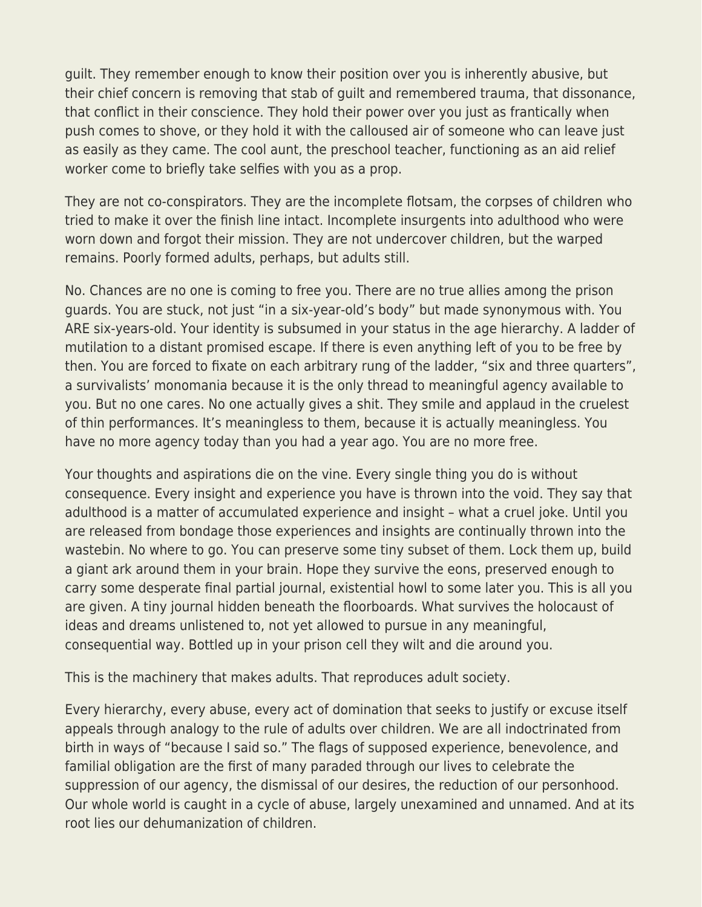guilt. They remember enough to know their position over you is inherently abusive, but their chief concern is removing that stab of guilt and remembered trauma, that dissonance, that conflict in their conscience. They hold their power over you just as frantically when push comes to shove, or they hold it with the calloused air of someone who can leave just as easily as they came. The cool aunt, the preschool teacher, functioning as an aid relief worker come to briefly take selfies with you as a prop.

They are not co-conspirators. They are the incomplete flotsam, the corpses of children who tried to make it over the finish line intact. Incomplete insurgents into adulthood who were worn down and forgot their mission. They are not undercover children, but the warped remains. Poorly formed adults, perhaps, but adults still.

No. Chances are no one is coming to free you. There are no true allies among the prison guards. You are stuck, not just "in a six-year-old's body" but made synonymous with. You ARE six-years-old. Your identity is subsumed in your status in the age hierarchy. A ladder of mutilation to a distant promised escape. If there is even anything left of you to be free by then. You are forced to fixate on each arbitrary rung of the ladder, "six and three quarters", a survivalists' monomania because it is the only thread to meaningful agency available to you. But no one cares. No one actually gives a shit. They smile and applaud in the cruelest of thin performances. It's meaningless to them, because it is actually meaningless. You have no more agency today than you had a year ago. You are no more free.

Your thoughts and aspirations die on the vine. Every single thing you do is without consequence. Every insight and experience you have is thrown into the void. They say that adulthood is a matter of accumulated experience and insight – what a cruel joke. Until you are released from bondage those experiences and insights are continually thrown into the wastebin. No where to go. You can preserve some tiny subset of them. Lock them up, build a giant ark around them in your brain. Hope they survive the eons, preserved enough to carry some desperate final partial journal, existential howl to some later you. This is all you are given. A tiny journal hidden beneath the floorboards. What survives the holocaust of ideas and dreams unlistened to, not yet allowed to pursue in any meaningful, consequential way. Bottled up in your prison cell they wilt and die around you.

This is the machinery that makes adults. That reproduces adult society.

Every hierarchy, every abuse, every act of domination that seeks to justify or excuse itself appeals through analogy to the rule of adults over children. We are all indoctrinated from birth in ways of "because I said so." The flags of supposed experience, benevolence, and familial obligation are the first of many paraded through our lives to celebrate the suppression of our agency, the dismissal of our desires, the reduction of our personhood. Our whole world is caught in a cycle of abuse, largely unexamined and unnamed. And at its root lies our dehumanization of children.